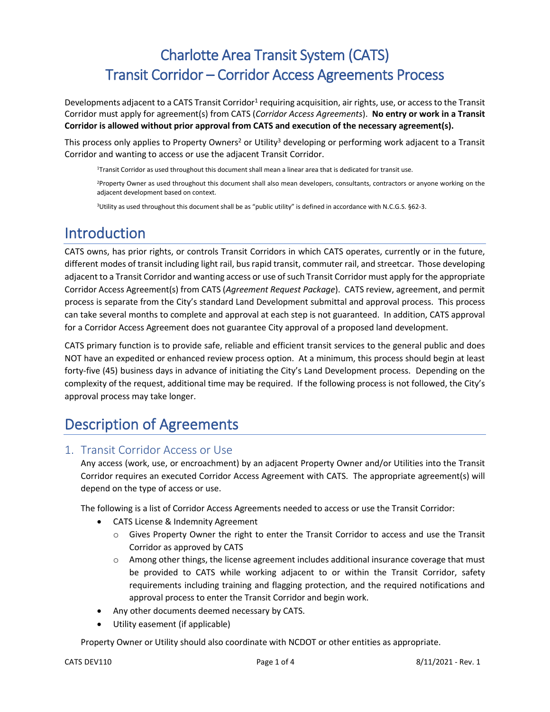# Charlotte Area Transit System (CATS) Transit Corridor – Corridor Access Agreements Process

Developments adjacent to a CATS Transit Corridor<sup>1</sup> requiring acquisition, air rights, use, or access to the Transit Corridor must apply for agreement(s) from CATS (*Corridor Access Agreements*). **No entry or work in a Transit Corridor is allowed without prior approval from CATS and execution of the necessary agreement(s).**

This process only applies to Property Owners<sup>2</sup> or Utility<sup>3</sup> developing or performing work adjacent to a Transit Corridor and wanting to access or use the adjacent Transit Corridor.

1 Transit Corridor as used throughout this document shall mean a linear area that is dedicated for transit use.

<sup>2</sup>Property Owner as used throughout this document shall also mean developers, consultants, contractors or anyone working on the adjacent development based on context.

3 Utility as used throughout this document shall be as "public utility" is defined in accordance with N.C.G.S. §62-3.

## Introduction

CATS owns, has prior rights, or controls Transit Corridors in which CATS operates, currently or in the future, different modes of transit including light rail, bus rapid transit, commuter rail, and streetcar. Those developing adjacent to a Transit Corridor and wanting access or use of such Transit Corridor must apply for the appropriate Corridor Access Agreement(s) from CATS (*Agreement Request Package*). CATS review, agreement, and permit process is separate from the City's standard Land Development submittal and approval process. This process can take several months to complete and approval at each step is not guaranteed. In addition, CATS approval for a Corridor Access Agreement does not guarantee City approval of a proposed land development.

CATS primary function is to provide safe, reliable and efficient transit services to the general public and does NOT have an expedited or enhanced review process option. At a minimum, this process should begin at least forty-five (45) business days in advance of initiating the City's Land Development process. Depending on the complexity of the request, additional time may be required. If the following process is not followed, the City's approval process may take longer.

# Description of Agreements

#### 1. Transit Corridor Access or Use

Any access (work, use, or encroachment) by an adjacent Property Owner and/or Utilities into the Transit Corridor requires an executed Corridor Access Agreement with CATS. The appropriate agreement(s) will depend on the type of access or use.

The following is a list of Corridor Access Agreements needed to access or use the Transit Corridor:

- CATS License & Indemnity Agreement
	- o Gives Property Owner the right to enter the Transit Corridor to access and use the Transit Corridor as approved by CATS
	- $\circ$  Among other things, the license agreement includes additional insurance coverage that must be provided to CATS while working adjacent to or within the Transit Corridor, safety requirements including training and flagging protection, and the required notifications and approval process to enter the Transit Corridor and begin work.
- Any other documents deemed necessary by CATS.
- Utility easement (if applicable)

Property Owner or Utility should also coordinate with NCDOT or other entities as appropriate.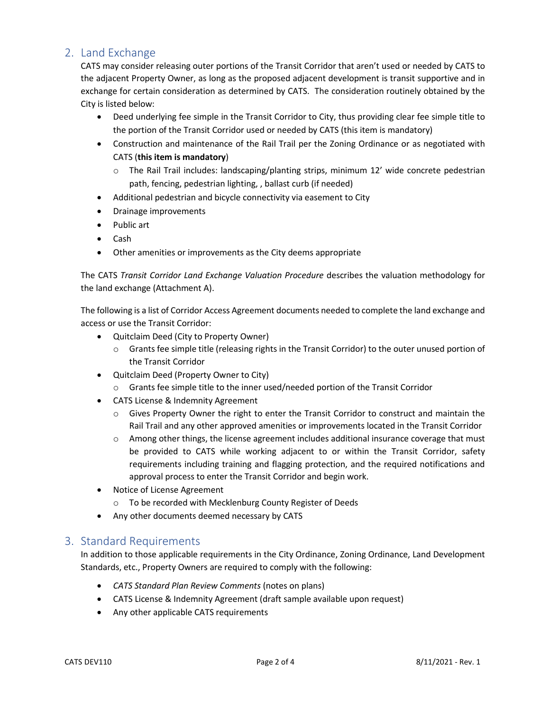## 2. Land Exchange

CATS may consider releasing outer portions of the Transit Corridor that aren't used or needed by CATS to the adjacent Property Owner, as long as the proposed adjacent development is transit supportive and in exchange for certain consideration as determined by CATS. The consideration routinely obtained by the City is listed below:

- Deed underlying fee simple in the Transit Corridor to City, thus providing clear fee simple title to the portion of the Transit Corridor used or needed by CATS (this item is mandatory)
- Construction and maintenance of the Rail Trail per the Zoning Ordinance or as negotiated with CATS (**this item is mandatory**)
	- $\circ$  The Rail Trail includes: landscaping/planting strips, minimum 12' wide concrete pedestrian path, fencing, pedestrian lighting, , ballast curb (if needed)
- Additional pedestrian and bicycle connectivity via easement to City
- Drainage improvements
- Public art
- Cash
- Other amenities or improvements as the City deems appropriate

The CATS *Transit Corridor Land Exchange Valuation Procedure* describes the valuation methodology for the land exchange (Attachment A).

The following is a list of Corridor Access Agreement documents needed to complete the land exchange and access or use the Transit Corridor:

- Quitclaim Deed (City to Property Owner)
	- o Grants fee simple title (releasing rights in the Transit Corridor) to the outer unused portion of the Transit Corridor
- Quitclaim Deed (Property Owner to City)
	- o Grants fee simple title to the inner used/needed portion of the Transit Corridor
- CATS License & Indemnity Agreement
	- $\circ$  Gives Property Owner the right to enter the Transit Corridor to construct and maintain the Rail Trail and any other approved amenities or improvements located in the Transit Corridor
	- $\circ$  Among other things, the license agreement includes additional insurance coverage that must be provided to CATS while working adjacent to or within the Transit Corridor, safety requirements including training and flagging protection, and the required notifications and approval process to enter the Transit Corridor and begin work.
- Notice of License Agreement
	- o To be recorded with Mecklenburg County Register of Deeds
- Any other documents deemed necessary by CATS

#### 3. Standard Requirements

In addition to those applicable requirements in the City Ordinance, Zoning Ordinance, Land Development Standards, etc., Property Owners are required to comply with the following:

- *CATS Standard Plan Review Comments* (notes on plans)
- CATS License & Indemnity Agreement (draft sample available upon request)
- Any other applicable CATS requirements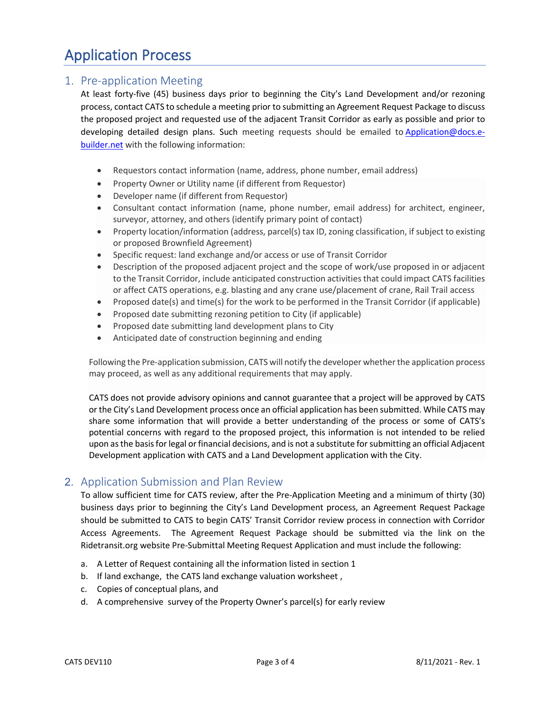# Application Process

## 1. Pre-application Meeting

At least forty-five (45) business days prior to beginning the City's Land Development and/or rezoning process, contact CATS to schedule a meeting prior to submitting an Agreement Request Package to discuss the proposed project and requested use of the adjacent Transit Corridor as early as possible and prior to developing detailed design plans. Such meeting requests should be emailed to Application@docs.ebuilder.net with the following information:

- Requestors contact information (name, address, phone number, email address)
- Property Owner or Utility name (if different from Requestor)
- Developer name (if different from Requestor)
- Consultant contact information (name, phone number, email address) for architect, engineer, surveyor, attorney, and others (identify primary point of contact)
- Property location/information (address, parcel(s) tax ID, zoning classification, if subject to existing or proposed Brownfield Agreement)
- Specific request: land exchange and/or access or use of Transit Corridor
- Description of the proposed adjacent project and the scope of work/use proposed in or adjacent to the Transit Corridor, include anticipated construction activities that could impact CATS facilities or affect CATS operations, e.g. blasting and any crane use/placement of crane, Rail Trail access
- Proposed date(s) and time(s) for the work to be performed in the Transit Corridor (if applicable)
- Proposed date submitting rezoning petition to City (if applicable)
- Proposed date submitting land development plans to City
- Anticipated date of construction beginning and ending

Following the Pre-application submission, CATS will notify the developer whether the application process may proceed, as well as any additional requirements that may apply.

CATS does not provide advisory opinions and cannot guarantee that a project will be approved by CATS or the City's Land Development process once an official application has been submitted. While CATS may share some information that will provide a better understanding of the process or some of CATS's potential concerns with regard to the proposed project, this information is not intended to be relied upon as the basis for legal or financial decisions, and is not a substitute for submitting an official Adjacent Development application with CATS and a Land Development application with the City.

## 2. Application Submission and Plan Review

To allow sufficient time for CATS review, after the Pre-Application Meeting and a minimum of thirty (30) business days prior to beginning the City's Land Development process, an Agreement Request Package should be submitted to CATS to begin CATS' Transit Corridor review process in connection with Corridor Access Agreements. The Agreement Request Package should be submitted via the link on the Ridetransit.org website Pre-Submittal Meeting Request Application and must include the following:

- a. A Letter of Request containing all the information listed in section 1
- b. If land exchange, the CATS land exchange valuation worksheet ,
- c. Copies of conceptual plans, and
- d. A comprehensive survey of the Property Owner's parcel(s) for early review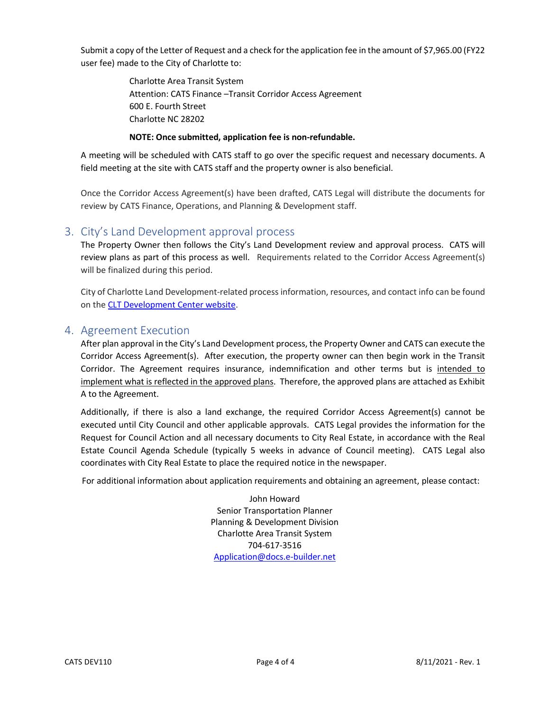Submit a copy of the Letter of Request and a check for the application fee in the amount of \$7,965.00 (FY22 user fee) made to the City of Charlotte to:

> Charlotte Area Transit System Attention: CATS Finance –Transit Corridor Access Agreement 600 E. Fourth Street Charlotte NC 28202

#### **NOTE: Once submitted, application fee is non-refundable.**

A meeting will be scheduled with CATS staff to go over the specific request and necessary documents. A field meeting at the site with CATS staff and the property owner is also beneficial.

Once the Corridor Access Agreement(s) have been drafted, CATS Legal will distribute the documents for review by CATS Finance, Operations, and Planning & Development staff.

#### 3. City's Land Development approval process

The Property Owner then follows the City's Land Development review and approval process. CATS will review plans as part of this process as well. Requirements related to the Corridor Access Agreement(s) will be finalized during this period.

City of Charlotte Land Development-related process information, resources, and contact info can be found on the [CLT Development Center website.](https://charlottenc.gov/DevelopmentCenter/Pages/default.aspx)

#### 4. Agreement Execution

After plan approval in the City's Land Development process, the Property Owner and CATS can execute the Corridor Access Agreement(s). After execution, the property owner can then begin work in the Transit Corridor. The Agreement requires insurance, indemnification and other terms but is intended to implement what is reflected in the approved plans. Therefore, the approved plans are attached as Exhibit A to the Agreement.

Additionally, if there is also a land exchange, the required Corridor Access Agreement(s) cannot be executed until City Council and other applicable approvals. CATS Legal provides the information for the Request for Council Action and all necessary documents to City Real Estate, in accordance with the Real Estate Council Agenda Schedule (typically 5 weeks in advance of Council meeting). CATS Legal also coordinates with City Real Estate to place the required notice in the newspaper.

For additional information about application requirements and obtaining an agreement, please contact:

John Howard Senior Transportation Planner Planning & Development Division Charlotte Area Transit System 704-617-3516 [Application@docs.e-builder.net](mailto:Application@docs.e-builder.net)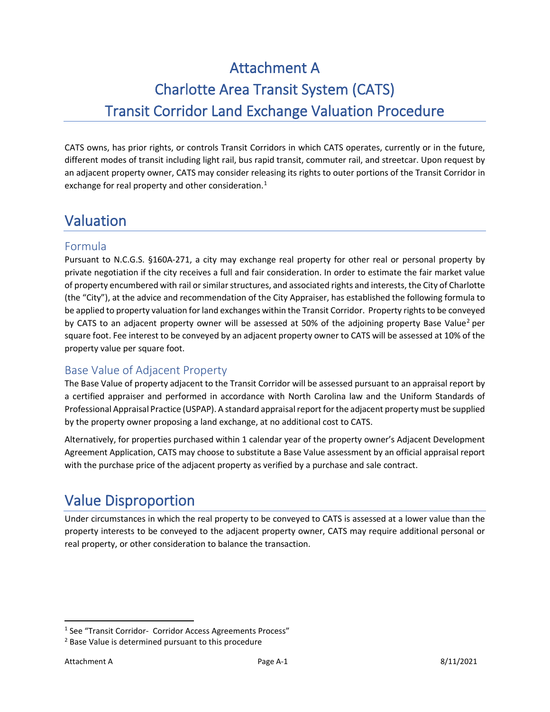# Attachment A Charlotte Area Transit System (CATS) Transit Corridor Land Exchange Valuation Procedure

CATS owns, has prior rights, or controls Transit Corridors in which CATS operates, currently or in the future, different modes of transit including light rail, bus rapid transit, commuter rail, and streetcar. Upon request by an adjacent property owner, CATS may consider releasing its rights to outer portions of the Transit Corridor in exchange for real property and other consideration.<sup>[1](#page-4-0)</sup>

# Valuation

### Formula

Pursuant to N.C.G.S. §160A-271, a city may exchange real property for other real or personal property by private negotiation if the city receives a full and fair consideration. In order to estimate the fair market value of property encumbered with rail or similar structures, and associated rights and interests, the City of Charlotte (the "City"), at the advice and recommendation of the City Appraiser, has established the following formula to be applied to property valuation for land exchanges within the Transit Corridor. Property rights to be conveyed by CATS to an adjacent property owner will be assessed at 50% of the adjoining property Base Value<sup>[2](#page-4-1)</sup> per square foot. Fee interest to be conveyed by an adjacent property owner to CATS will be assessed at 10% of the property value per square foot.

## Base Value of Adjacent Property

The Base Value of property adjacent to the Transit Corridor will be assessed pursuant to an appraisal report by a certified appraiser and performed in accordance with North Carolina law and the Uniform Standards of Professional Appraisal Practice (USPAP). A standard appraisal report for the adjacent property must be supplied by the property owner proposing a land exchange, at no additional cost to CATS.

Alternatively, for properties purchased within 1 calendar year of the property owner's Adjacent Development Agreement Application, CATS may choose to substitute a Base Value assessment by an official appraisal report with the purchase price of the adjacent property as verified by a purchase and sale contract.

# Value Disproportion

Under circumstances in which the real property to be conveyed to CATS is assessed at a lower value than the property interests to be conveyed to the adjacent property owner, CATS may require additional personal or real property, or other consideration to balance the transaction.

<span id="page-4-0"></span><sup>&</sup>lt;sup>1</sup> See "Transit Corridor- Corridor Access Agreements Process"

<span id="page-4-1"></span><sup>2</sup> Base Value is determined pursuant to this procedure